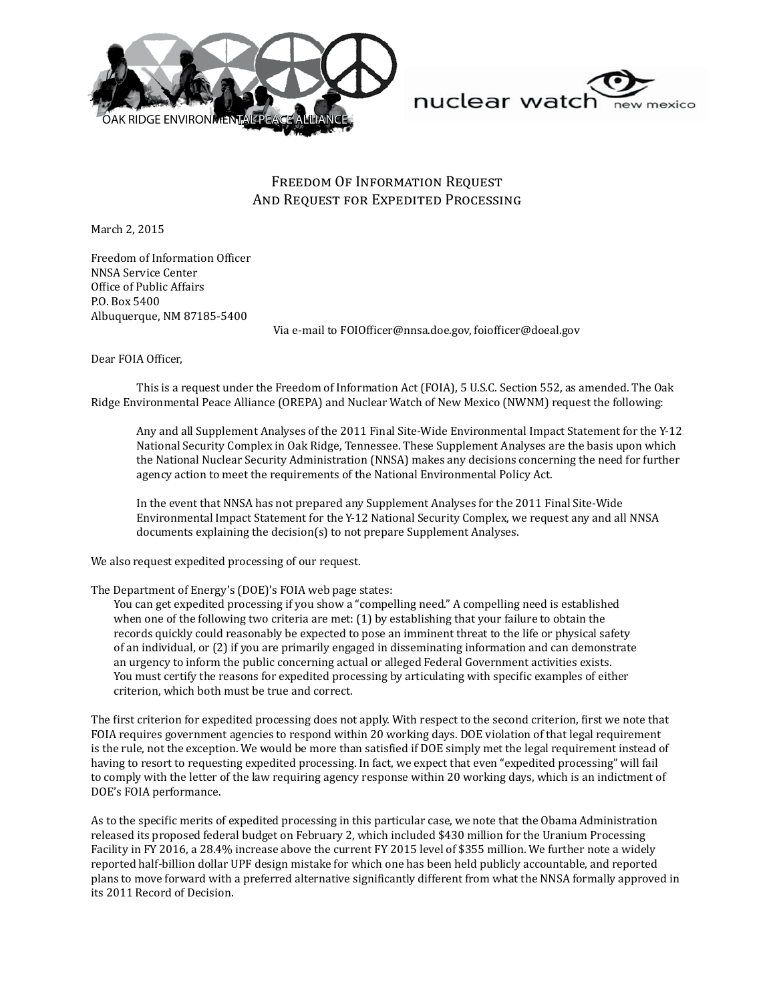



## Freedom Of Information Request And Request for Expedited Processing

March 2, 2015

Freedom of Information Officer NNSA Service Center Office of Public Affairs P.O. Box 5400 Albuquerque, NM 87185-5400

Via e-mail to FOIOfficer@nnsa.doe.gov, foiofficer@doeal.gov

Dear FOIA Officer,

This is a request under the Freedom of Information Act (FOIA), 5 U.S.C. Section 552, as amended. The Oak Ridge Environmental Peace Alliance (OREPA) and Nuclear Watch of New Mexico (NWNM) request the following:

Any and all Supplement Analyses of the 2011 Final Site-Wide Environmental Impact Statement for the Y-12 National Security Complex in Oak Ridge, Tennessee. These Supplement Analyses are the basis upon which the National Nuclear Security Administration (NNSA) makes any decisions concerning the need for further agency action to meet the requirements of the National Environmental Policy Act.

In the event that NNSA has not prepared any Supplement Analyses for the 2011 Final Site-Wide Environmental Impact Statement for the Y-12 National Security Complex, we request any and all NNSA documents explaining the decision(s) to not prepare Supplement Analyses.

We also request expedited processing of our request.

The Department of Energy's (DOE)'s FOIA web page states:

You can get expedited processing if you show a "compelling need." A compelling need is established when one of the following two criteria are met: (1) by establishing that your failure to obtain the records quickly could reasonably be expected to pose an imminent threat to the life or physical safety of an individual, or (2) if you are primarily engaged in disseminating information and can demonstrate an urgency to inform the public concerning actual or alleged Federal Government activities exists. You must certify the reasons for expedited processing by articulating with specific examples of either criterion, which both must be true and correct.

The first criterion for expedited processing does not apply. With respect to the second criterion, first we note that FOIA requires government agencies to respond within 20 working days. DOE violation of that legal requirement is the rule, not the exception. We would be more than satisfied if DOE simply met the legal requirement instead of having to resort to requesting expedited processing. In fact, we expect that even "expedited processing" will fail to comply with the letter of the law requiring agency response within 20 working days, which is an indictment of DOE's FOIA performance.

As to the specific merits of expedited processing in this particular case, we note that the Obama Administration released its proposed federal budget on February 2, which included \$430 million for the Uranium Processing Facility in FY 2016, a 28.4% increase above the current FY 2015 level of \$355 million. We further note a widely reported half-billion dollar UPF design mistake for which one has been held publicly accountable, and reported plans to move forward with a preferred alternative significantly different from what the NNSA formally approved in its 2011 Record of Decision.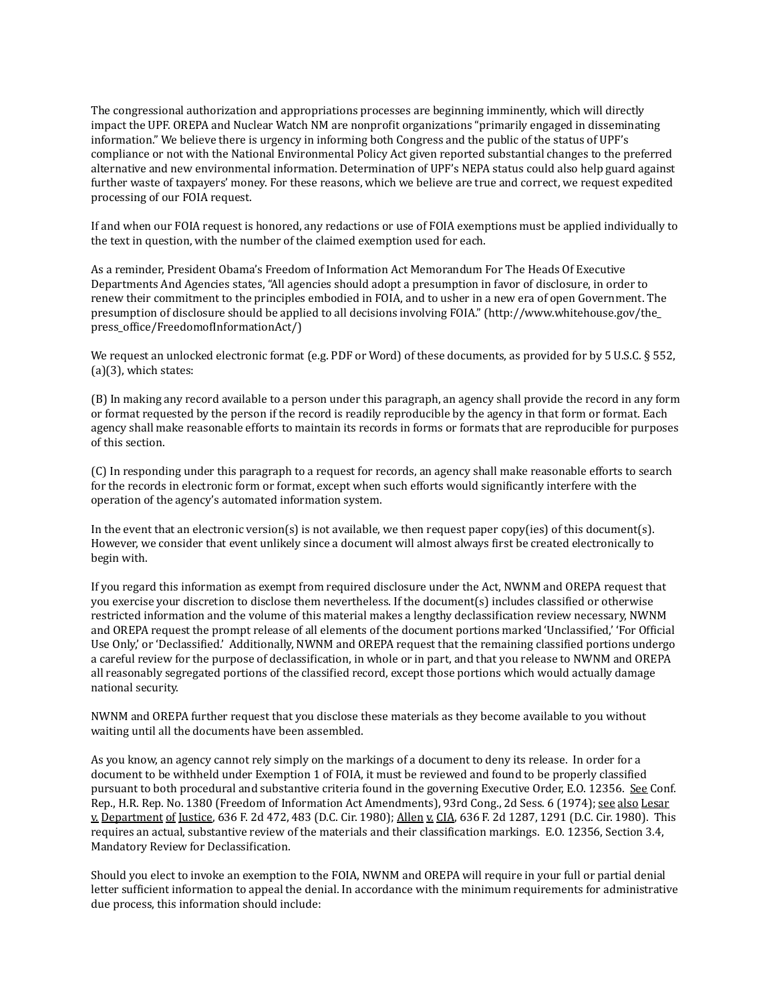The congressional authorization and appropriations processes are beginning imminently, which will directly impact the UPF. OREPA and Nuclear Watch NM are nonprofit organizations "primarily engaged in disseminating information." We believe there is urgency in informing both Congress and the public of the status of UPF's compliance or not with the National Environmental Policy Act given reported substantial changes to the preferred alternative and new environmental information. Determination of UPF's NEPA status could also help guard against further waste of taxpayers' money. For these reasons, which we believe are true and correct, we request expedited processing of our FOIA request.

If and when our FOIA request is honored, any redactions or use of FOIA exemptions must be applied individually to the text in question, with the number of the claimed exemption used for each.

As a reminder, President Obama's Freedom of Information Act Memorandum For The Heads Of Executive Departments And Agencies states, "All agencies should adopt a presumption in favor of disclosure, in order to renew their commitment to the principles embodied in FOIA, and to usher in a new era of open Government. The presumption of disclosure should be applied to all decisions involving FOIA." (http://www.whitehouse.gov/the\_ press\_office/FreedomofInformationAct/)

We request an unlocked electronic format (e.g. PDF or Word) of these documents, as provided for by 5 U.S.C. § 552, (a)(3), which states:

(B) In making any record available to a person under this paragraph, an agency shall provide the record in any form or format requested by the person if the record is readily reproducible by the agency in that form or format. Each agency shall make reasonable efforts to maintain its records in forms or formats that are reproducible for purposes of this section.

(C) In responding under this paragraph to a request for records, an agency shall make reasonable efforts to search for the records in electronic form or format, except when such efforts would significantly interfere with the operation of the agency's automated information system.

In the event that an electronic version(s) is not available, we then request paper copy(ies) of this document(s). However, we consider that event unlikely since a document will almost always first be created electronically to begin with.

If you regard this information as exempt from required disclosure under the Act, NWNM and OREPA request that you exercise your discretion to disclose them nevertheless. If the document(s) includes classified or otherwise restricted information and the volume of this material makes a lengthy declassification review necessary, NWNM and OREPA request the prompt release of all elements of the document portions marked 'Unclassified,' 'For Official Use Only,' or 'Declassified.' Additionally, NWNM and OREPA request that the remaining classified portions undergo a careful review for the purpose of declassification, in whole or in part, and that you release to NWNM and OREPA all reasonably segregated portions of the classified record, except those portions which would actually damage national security.

NWNM and OREPA further request that you disclose these materials as they become available to you without waiting until all the documents have been assembled.

As you know, an agency cannot rely simply on the markings of a document to deny its release. In order for a document to be withheld under Exemption 1 of FOIA, it must be reviewed and found to be properly classified pursuant to both procedural and substantive criteria found in the governing Executive Order, E.O. 12356. See Conf. Rep., H.R. Rep. No. 1380 (Freedom of Information Act Amendments), 93rd Cong., 2d Sess. 6 (1974); see also Lesar v. Department of Justice, 636 F. 2d 472, 483 (D.C. Cir. 1980); Allen v. CIA, 636 F. 2d 1287, 1291 (D.C. Cir. 1980). This requires an actual, substantive review of the materials and their classification markings. E.O. 12356, Section 3.4, Mandatory Review for Declassification.

Should you elect to invoke an exemption to the FOIA, NWNM and OREPA will require in your full or partial denial letter sufficient information to appeal the denial. In accordance with the minimum requirements for administrative due process, this information should include: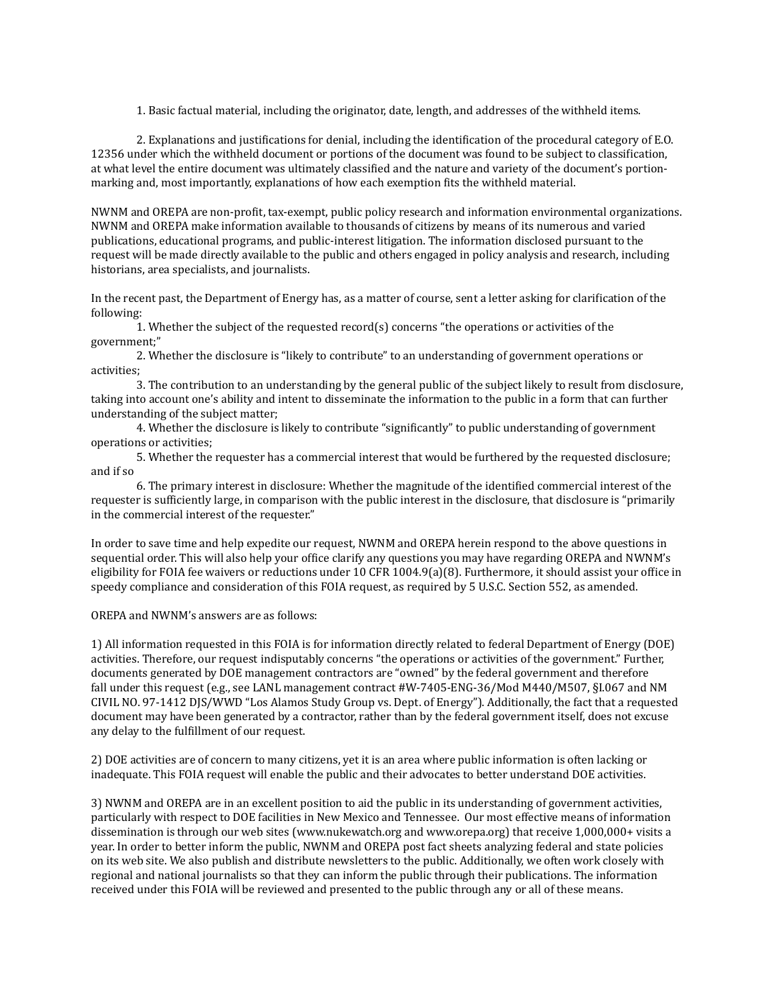1. Basic factual material, including the originator, date, length, and addresses of the withheld items.

2. Explanations and justifications for denial, including the identification of the procedural category of E.O. 12356 under which the withheld document or portions of the document was found to be subject to classification, at what level the entire document was ultimately classified and the nature and variety of the document's portionmarking and, most importantly, explanations of how each exemption fits the withheld material.

NWNM and OREPA are non-profit, tax-exempt, public policy research and information environmental organizations. NWNM and OREPA make information available to thousands of citizens by means of its numerous and varied publications, educational programs, and public-interest litigation. The information disclosed pursuant to the request will be made directly available to the public and others engaged in policy analysis and research, including historians, area specialists, and journalists.

In the recent past, the Department of Energy has, as a matter of course, sent a letter asking for clarification of the following:

1. Whether the subject of the requested record(s) concerns "the operations or activities of the government;"

2. Whether the disclosure is "likely to contribute" to an understanding of government operations or activities;

3. The contribution to an understanding by the general public of the subject likely to result from disclosure, taking into account one's ability and intent to disseminate the information to the public in a form that can further understanding of the subject matter;

4. Whether the disclosure is likely to contribute "significantly" to public understanding of government operations or activities;

5. Whether the requester has a commercial interest that would be furthered by the requested disclosure; and if so

6. The primary interest in disclosure: Whether the magnitude of the identified commercial interest of the requester is sufficiently large, in comparison with the public interest in the disclosure, that disclosure is "primarily in the commercial interest of the requester."

In order to save time and help expedite our request, NWNM and OREPA herein respond to the above questions in sequential order. This will also help your office clarify any questions you may have regarding OREPA and NWNM's eligibility for FOIA fee waivers or reductions under 10 CFR 1004.9(a)(8). Furthermore, it should assist your office in speedy compliance and consideration of this FOIA request, as required by 5 U.S.C. Section 552, as amended.

OREPA and NWNM's answers are as follows:

1) All information requested in this FOIA is for information directly related to federal Department of Energy (DOE) activities. Therefore, our request indisputably concerns "the operations or activities of the government." Further, documents generated by DOE management contractors are "owned" by the federal government and therefore fall under this request (e.g., see LANL management contract #W-7405-ENG-36/Mod M440/M507, §I.067 and NM CIVIL NO. 97-1412 DJS/WWD "Los Alamos Study Group vs. Dept. of Energy"). Additionally, the fact that a requested document may have been generated by a contractor, rather than by the federal government itself, does not excuse any delay to the fulfillment of our request.

2) DOE activities are of concern to many citizens, yet it is an area where public information is often lacking or inadequate. This FOIA request will enable the public and their advocates to better understand DOE activities.

3) NWNM and OREPA are in an excellent position to aid the public in its understanding of government activities, particularly with respect to DOE facilities in New Mexico and Tennessee. Our most effective means of information dissemination is through our web sites (www.nukewatch.org and www.orepa.org) that receive 1,000,000+ visits a year. In order to better inform the public, NWNM and OREPA post fact sheets analyzing federal and state policies on its web site. We also publish and distribute newsletters to the public. Additionally, we often work closely with regional and national journalists so that they can inform the public through their publications. The information received under this FOIA will be reviewed and presented to the public through any or all of these means.